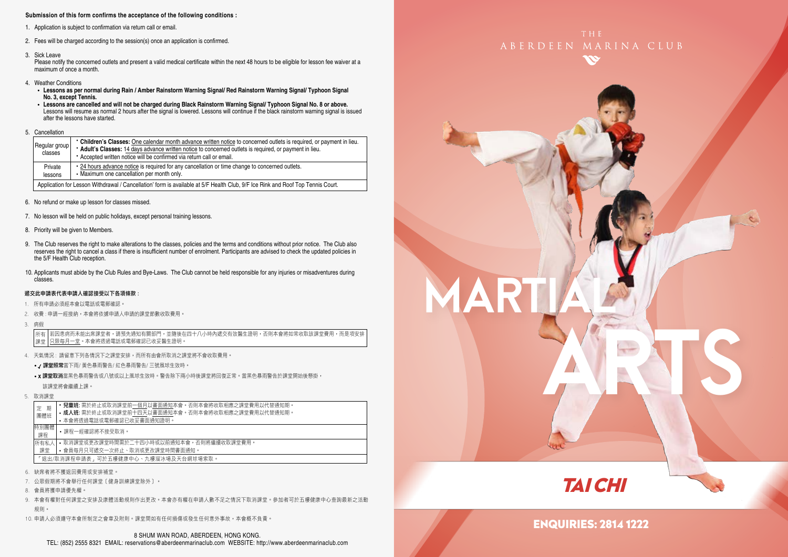#### **Submission of this form confirms the acceptance of the following conditions :**

- 1. Application is subject to confirmation via return call or email.
- 2. Fees will be charged according to the session(s) once an application is confirmed.
- 3. Sick Leave

Please notify the concerned outlets and present a valid medical certificate within the next 48 hours to be eligible for lesson fee waiver at a maximum of once a month.

- 4. Weather Conditions
	- **Lessons as per normal during Rain / Amber Rainstorm Warning Signal/ Red Rainstorm Warning Signal/ Typhoon Signal No. 3, except Tennis.**
	- **Lessons are cancelled and will not be charged during Black Rainstorm Warning Signal/ Typhoon Signal No. 8 or above.** Lessons will resume as normal 2 hours after the signal is lowered. Lessons will continue if the black rainstorm warning signal is issued after the lessons have started.
- 5. Cancellation

|  | Regular group<br>classes | • Children's Classes: One calendar month advance written notice to concerned outlets is required, or payment in lieu.<br>* Adult's Classes: 14 days advance written notice to concerned outlets is required, or payment in lieu.<br>* Accepted written notice will be confirmed via return call or email. |
|--|--------------------------|-----------------------------------------------------------------------------------------------------------------------------------------------------------------------------------------------------------------------------------------------------------------------------------------------------------|
|  | Private<br>lessons       | • 24 hours advance notice is required for any cancellation or time change to concerned outlets.<br>• Maximum one cancellation per month only.                                                                                                                                                             |
|  |                          | Application for Lesson Withdrawal / Cancellation' form is available at 5/F Health Club, 9/F Ice Rink and Roof Top Tennis Court.                                                                                                                                                                           |

- 6. No refund or make up lesson for classes missed.
- 7. No lesson will be held on public holidays, except personal training lessons.
- 8. Priority will be given to Members.
- 9. The Club reserves the right to make alterations to the classes, policies and the terms and conditions without prior notice. The Club also reserves the right to cancel a class if there is insufficient number of enrolment. Participants are advised to check the updated policies in the 5/F Health Club reception.
- 10. Applicants must abide by the Club Rules and Bye-Laws. The Club cannot be held responsible for any injuries or misadventures during classes.

#### 遞交此申請表代表申請人確認接受以下各項條款 :

- 1. 所有申請必須經本會以電話或電郵確認。
- 2. 收費 : 申請一經接納,本會將依據申請人申請的課堂節數收取費用。
- 3. 病假

若因患病而未能出席課堂者,請預先通知有關部門,並隨後在四十八小時內遞交有效醫生證明,否則本會將如常收取該課堂費用,而是項安排 只限每月一堂。本會將透過電話或電郵確認已收妥醫生證明。 所有 課堂

- 4. 天氣情況 : 請留意下列各情況下之課堂安排,而所有由會所取消之課堂將不會收取費用。
	- / 課堂照常當下雨/ 黃色暴雨警告/ 紅色暴雨警告/ 三號風球生效時。
	- x 課堂取消當黑色暴雨警告或八號或以上風球生效時。警告除下兩小時後課堂將回復正常。當黑色暴雨警告於課堂開始後懸掛, 該課堂將會繼續上課。
- 5. 取消課堂

|                                     | 期<br>定<br>團體班 | • 兒童班: 需於終止或取消課堂前一個月以書面通知本會。否則本會將收取相應之課堂費用以代替通知期。<br>• 成人班: 需於終止或取消課堂前十四天以書面通知本會。否則本會將收取相應之課堂費用以代替通知期。<br>• 本會將诱過電話或電郵確認已收妥書面通知證明。 |  |  |
|-------------------------------------|---------------|------------------------------------------------------------------------------------------------------------------------------------|--|--|
|                                     | 特別團體          |                                                                                                                                    |  |  |
|                                     | 課程            | •課程一經確認將不接受取消。                                                                                                                     |  |  |
| 所有私人                                |               | • 取消課堂或更改課堂時間需於二十四小時或以前捅知本會,否則將繼續收取課堂費用。                                                                                           |  |  |
|                                     | 課堂            | • 會員每月只可遞交一次終止、取消或更改課堂時間書面通知。                                                                                                      |  |  |
| 「退出/取消課程申請表」可於五樓健康中心、九樓溜冰場及天台網球場索取。 |               |                                                                                                                                    |  |  |
|                                     |               |                                                                                                                                    |  |  |

- 6. 缺席者將不獲退回費用或安排補堂。
- 7. 公眾假期將不會舉行任何課堂﹝健身訓練課堂除外﹞。
- 8. 會員將獲申請優先權。
- 9. 本會有權對任何課堂之安排及康體活動規則作出更改。本會亦有權在申請人數不足之情況下取消課堂。參加者可於五樓健康中心查詢最新之活動 規則。
- 10. 申請人必須遵守本會所制定之會章及附則。課堂間如有任何損傷或發生任何意外事故,本會概不負責。





TAI CHI

## ENQUIRIES: 2814 1222